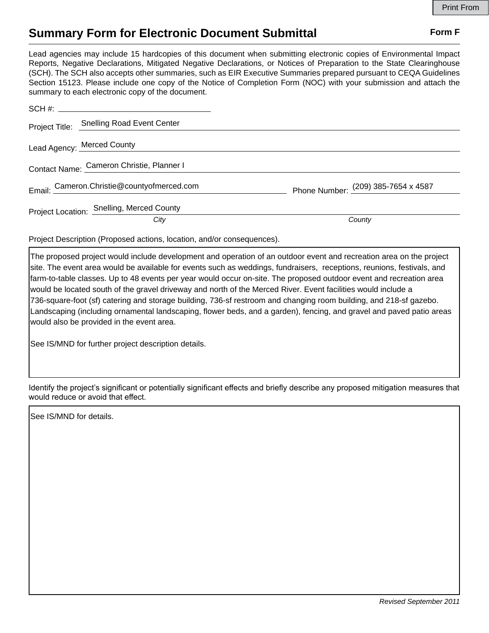## **Summary Form for Electronic Document Submittal Form F Form F**

Lead agencies may include 15 hardcopies of this document when submitting electronic copies of Environmental Impact Reports, Negative Declarations, Mitigated Negative Declarations, or Notices of Preparation to the State Clearinghouse (SCH). The SCH also accepts other summaries, such as EIR Executive Summaries prepared pursuant to CEQA Guidelines Section 15123. Please include one copy of the Notice of Completion Form (NOC) with your submission and attach the summary to each electronic copy of the document.

|                                           | Project Title: Snelling Road Event Center  |                                     |
|-------------------------------------------|--------------------------------------------|-------------------------------------|
| Lead Agency: Merced County                |                                            |                                     |
| Contact Name: Cameron Christie, Planner I |                                            |                                     |
|                                           | Email: Cameron.Christie@countyofmerced.com | Phone Number: (209) 385-7654 x 4587 |
|                                           | Project Location: Snelling, Merced County  |                                     |
|                                           | City                                       | County                              |

Project Description (Proposed actions, location, and/or consequences).

The proposed project would include development and operation of an outdoor event and recreation area on the project site. The event area would be available for events such as weddings, fundraisers, receptions, reunions, festivals, and farm-to-table classes. Up to 48 events per year would occur on-site. The proposed outdoor event and recreation area would be located south of the gravel driveway and north of the Merced River. Event facilities would include a 736-square-foot (sf) catering and storage building, 736-sf restroom and changing room building, and 218-sf gazebo. Landscaping (including ornamental landscaping, flower beds, and a garden), fencing, and gravel and paved patio areas would also be provided in the event area.

See IS/MND for further project description details.

Identify the project's significant or potentially significant effects and briefly describe any proposed mitigation measures that would reduce or avoid that effect.

See IS/MND for details.